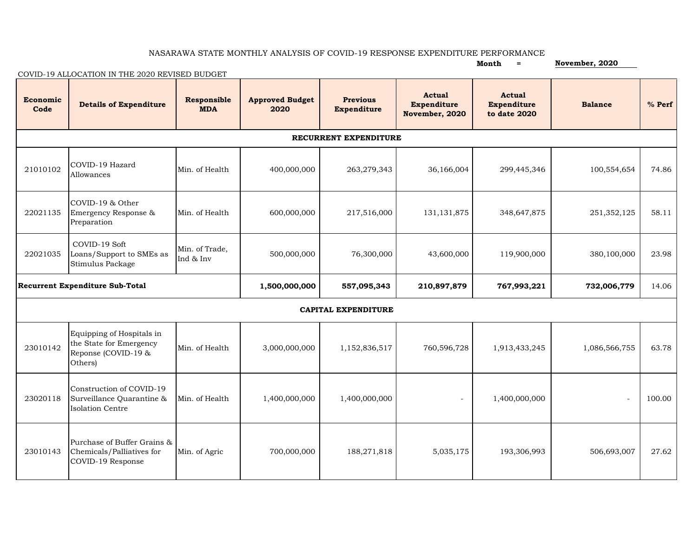## NASARAWA STATE MONTHLY ANALYSIS OF COVID-19 RESPONSE EXPENDITURE PERFORMANCE

|                                        | COVID-19 ALLOCATION IN THE 2020 REVISED BUDGET                                         | Month<br>$=$                | November, 2020                 |                                       |                                                       |                                                     |                          |          |  |  |  |  |  |
|----------------------------------------|----------------------------------------------------------------------------------------|-----------------------------|--------------------------------|---------------------------------------|-------------------------------------------------------|-----------------------------------------------------|--------------------------|----------|--|--|--|--|--|
| Economic<br>Code                       | <b>Details of Expenditure</b>                                                          | Responsible<br><b>MDA</b>   | <b>Approved Budget</b><br>2020 | <b>Previous</b><br><b>Expenditure</b> | <b>Actual</b><br><b>Expenditure</b><br>November, 2020 | <b>Actual</b><br><b>Expenditure</b><br>to date 2020 | <b>Balance</b>           | $%$ Perf |  |  |  |  |  |
| RECURRENT EXPENDITURE                  |                                                                                        |                             |                                |                                       |                                                       |                                                     |                          |          |  |  |  |  |  |
| 21010102                               | COVID-19 Hazard<br>Allowances                                                          | Min. of Health              | 400,000,000                    | 263,279,343                           | 36,166,004                                            | 299,445,346                                         | 100,554,654              | 74.86    |  |  |  |  |  |
| 22021135                               | COVID-19 & Other<br>Emergency Response &<br>Preparation                                | Min. of Health              | 600,000,000                    | 217,516,000                           | 131, 131, 875                                         | 348,647,875                                         | 251,352,125              | 58.11    |  |  |  |  |  |
| 22021035                               | COVID-19 Soft<br>Loans/Support to SMEs as<br>Stimulus Package                          | Min. of Trade,<br>Ind & Inv | 500,000,000                    | 76,300,000                            | 43,600,000                                            | 119,900,000                                         | 380,100,000              | 23.98    |  |  |  |  |  |
| <b>Recurrent Expenditure Sub-Total</b> |                                                                                        |                             | 1,500,000,000                  | 557,095,343                           | 210,897,879                                           | 767,993,221                                         | 732,006,779              | 14.06    |  |  |  |  |  |
| <b>CAPITAL EXPENDITURE</b>             |                                                                                        |                             |                                |                                       |                                                       |                                                     |                          |          |  |  |  |  |  |
| 23010142                               | Equipping of Hospitals in<br>the State for Emergency<br>Reponse (COVID-19 &<br>Others) | Min. of Health              | 3,000,000,000                  | 1,152,836,517                         | 760,596,728                                           | 1,913,433,245                                       | 1,086,566,755            | 63.78    |  |  |  |  |  |
| 23020118                               | Construction of COVID-19<br>Surveillance Quarantine &<br><b>Isolation Centre</b>       | Min. of Health              | 1,400,000,000                  | 1,400,000,000                         | $\overline{\phantom{a}}$                              | 1,400,000,000                                       | $\overline{\phantom{a}}$ | 100.00   |  |  |  |  |  |
| 23010143                               | Purchase of Buffer Grains &<br>Chemicals/Palliatives for<br>COVID-19 Response          | Min. of Agric               | 700,000,000                    | 188,271,818                           | 5,035,175                                             | 193,306,993                                         | 506,693,007              | 27.62    |  |  |  |  |  |